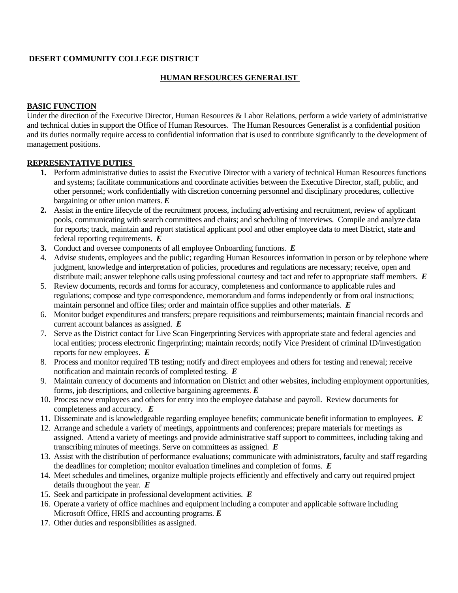### **DESERT COMMUNITY COLLEGE DISTRICT**

# **HUMAN RESOURCES GENERALIST**

#### **BASIC FUNCTION**

Under the direction of the Executive Director, Human Resources & Labor Relations, perform a wide variety of administrative and technical duties in support the Office of Human Resources. The Human Resources Generalist is a confidential position and its duties normally require access to confidential information that is used to contribute significantly to the development of management positions.

### **REPRESENTATIVE DUTIES**

- **1.** Perform administrative duties to assist the Executive Director with a variety of technical Human Resources functions and systems; facilitate communications and coordinate activities between the Executive Director, staff, public, and other personnel; work confidentially with discretion concerning personnel and disciplinary procedures, collective bargaining or other union matters. *E*
- **2.** Assist in the entire lifecycle of the recruitment process, including advertising and recruitment, review of applicant pools, communicating with search committees and chairs; and scheduling of interviews. Compile and analyze data for reports; track, maintain and report statistical applicant pool and other employee data to meet District, state and federal reporting requirements. *E*
- **3.** Conduct and oversee components of all employee Onboarding functions. *E*
- 4. Advise students, employees and the public; regarding Human Resources information in person or by telephone where judgment, knowledge and interpretation of policies, procedures and regulations are necessary; receive, open and distribute mail; answer telephone calls using professional courtesy and tact and refer to appropriate staff members. *E*
- 5. Review documents, records and forms for accuracy, completeness and conformance to applicable rules and regulations; compose and type correspondence, memorandum and forms independently or from oral instructions; maintain personnel and office files; order and maintain office supplies and other materials. *E*
- 6. Monitor budget expenditures and transfers; prepare requisitions and reimbursements; maintain financial records and current account balances as assigned. *E*
- 7. Serve as the District contact for Live Scan Fingerprinting Services with appropriate state and federal agencies and local entities; process electronic fingerprinting; maintain records; notify Vice President of criminal ID/investigation reports for new employees. *E*
- 8. Process and monitor required TB testing; notify and direct employees and others for testing and renewal; receive notification and maintain records of completed testing. *E*
- 9. Maintain currency of documents and information on District and other websites, including employment opportunities, forms, job descriptions, and collective bargaining agreements. *E*
- 10. Process new employees and others for entry into the employee database and payroll. Review documents for completeness and accuracy. *E*
- 11. Disseminate and is knowledgeable regarding employee benefits; communicate benefit information to employees. *E*
- 12. Arrange and schedule a variety of meetings, appointments and conferences; prepare materials for meetings as assigned. Attend a variety of meetings and provide administrative staff support to committees, including taking and transcribing minutes of meetings. Serve on committees as assigned. *E*
- 13. Assist with the distribution of performance evaluations; communicate with administrators, faculty and staff regarding the deadlines for completion; monitor evaluation timelines and completion of forms. *E*
- 14. Meet schedules and timelines, organize multiple projects efficiently and effectively and carry out required project details throughout the year. *E*
- 15. Seek and participate in professional development activities. *E*
- 16. Operate a variety of office machines and equipment including a computer and applicable software including Microsoft Office, HRIS and accounting programs. *E*
- 17. Other duties and responsibilities as assigned.